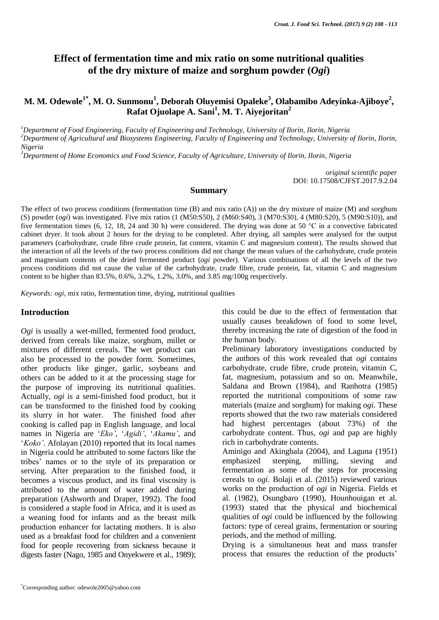# **Effect of fermentation time and mix ratio on some nutritional qualities of the dry mixture of maize and sorghum powder (***Ogi***)**

# **M. M. Odewole1\* , M. O. Sunmonu<sup>1</sup> , Deborah Oluyemisi Opaleke<sup>3</sup> , Olabamibo Adeyinka-Ajiboye<sup>2</sup> , Rafat Ojuolape A. Sani<sup>1</sup> , M. T. Aiyejoritan<sup>2</sup>**

*<sup>1</sup>Department of Food Engineering, Faculty of Engineering and Technology, University of Ilorin, Ilorin, Nigeria <sup>2</sup>Department of Agricultural and Biosystems Engineering, Faculty of Engineering and Technology, University of Ilorin, Ilorin, Nigeria*

*<sup>3</sup>Department of Home Economics and Food Science, Faculty of Agriculture, University of Ilorin, Ilorin, Nigeria*

*original scientific paper* DOI: 10.17508/CJFST.2017.9.2.04

#### **Summary**

The effect of two process conditions (fermentation time (B) and mix ratio (A)) on the dry mixture of maize (M) and sorghum (S) powder (*ogi*) was investigated. Five mix ratios (1 (M50:S50), 2 (M60:S40), 3 (M70:S30), 4 (M80:S20), 5 (M90:S10)), and five fermentation times (6, 12, 18, 24 and 30 h) were considered. The drying was done at 50 °C in a convective fabricated cabinet dryer. It took about 2 hours for the drying to be completed. After drying, all samples were analysed for the output parameters (carbohydrate, crude fibre crude protein, fat content, vitamin C and magnesium content). The results showed that the interaction of all the levels of the two process conditions did not change the mean values of the carbohydrate, crude protein and magnesium contents of the dried fermented product (*ogi* powder). Various combinations of all the levels of the two process conditions did not cause the value of the carbohydrate, crude fibre, crude protein, fat, vitamin C and magnesium content to be higher than 83.5%, 0.6%, 3.2%, 1.2%, 3.0%, and 3.85 mg/100g respectively.

*Keywords: ogi*, mix ratio, fermentation time, drying, nutritional qualities

### **Introduction**

*Ogi* is usually a wet-milled, fermented food product, derived from cereals like maize, sorghum, millet or mixtures of different cereals. The wet product can also be processed to the powder form. Sometimes, other products like ginger, garlic, soybeans and others can be added to it at the processing stage for the purpose of improving its nutritional qualities. Actually, *ogi* is a semi-finished food product, but it can be transformed to the finished food by cooking its slurry in hot water. The finished food after cooking is called pap in English language, and local names in Nigeria are '*Eko'*, '*Agidi'*, '*Akamu'*, and '*Koko'*. Afolayan (2010) reported that its local names in Nigeria could be attributed to some factors like the tribes' names or to the style of its preparation or serving. After preparation to the finished food, it becomes a viscous product, and its final viscosity is attributed to the amount of water added during preparation (Ashworth and Draper, 1992). The food is considered a staple food in Africa, and it is used as a weaning food for infants and as the breast milk production enhancer for lactating mothers. It is also used as a breakfast food for children and a convenient food for people recovering from sickness because it digests faster (Nago, 1985 and Onyekwere et al., 1989);

this could be due to the effect of fermentation that usually causes breakdown of food to some level, thereby increasing the rate of digestion of the food in the human body.

Preliminary laboratory investigations conducted by the authors of this work revealed that *ogi* contains carbohydrate, crude fibre, crude protein, vitamin C, fat, magnesium, potassium and so on. Meanwhile, Saldana and Brown (1984), and Ranhotra (1985) reported the nutritional compositions of some raw materials (maize and sorghum) for making *ogi*. These reports showed that the two raw materials considered had highest percentages (about 73%) of the carbohydrate content. Thus, *ogi* and pap are highly rich in carbohydrate contents.

Aminigo and Akingbala (2004), and Laguna (1951) emphasized steeping, milling, sieving and fermentation as some of the steps for processing cereals to *ogi*. Bolaji et al. (2015) reviewed various works on the production of *ogi* in Nigeria. Fields et al. (1982), Osungbaro (1990), Hounhouigan et al. (1993) stated that the physical and biochemical qualities of *ogi* could be influenced by the following factors: type of cereal grains, fermentation or souring periods, and the method of milling.

Drying is a simultaneous heat and mass transfer process that ensures the reduction of the products'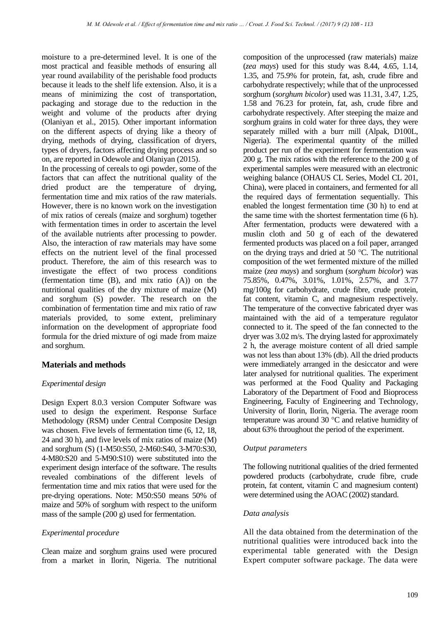moisture to a pre-determined level. It is one of the most practical and feasible methods of ensuring all year round availability of the perishable food products because it leads to the shelf life extension. Also, it is a means of minimizing the cost of transportation, packaging and storage due to the reduction in the weight and volume of the products after drying (Olaniyan et al., 2015). Other important information on the different aspects of drying like a theory of drying, methods of drying, classification of dryers, types of dryers, factors affecting drying process and so on, are reported in Odewole and Olaniyan (2015).

In the processing of cereals to ogi powder, some of the factors that can affect the nutritional quality of the dried product are the temperature of drying, fermentation time and mix ratios of the raw materials. However, there is no known work on the investigation of mix ratios of cereals (maize and sorghum) together with fermentation times in order to ascertain the level of the available nutrients after processing to powder. Also, the interaction of raw materials may have some effects on the nutrient level of the final processed product. Therefore, the aim of this research was to investigate the effect of two process conditions (fermentation time (B), and mix ratio (A)) on the nutritional qualities of the dry mixture of maize (M) and sorghum (S) powder. The research on the combination of fermentation time and mix ratio of raw materials provided, to some extent, preliminary information on the development of appropriate food formula for the dried mixture of ogi made from maize and sorghum.

### **Materials and methods**

### *Experimental design*

Design Expert 8.0.3 version Computer Software was used to design the experiment. Response Surface Methodology (RSM) under Central Composite Design was chosen. Five levels of fermentation time  $(6, 12, 18, ...)$ 24 and 30 h), and five levels of mix ratios of maize (M) and sorghum (S) (1-M50:S50, 2-M60:S40, 3-M70:S30, 4-M80:S20 and 5-M90:S10) were substituted into the experiment design interface of the software. The results revealed combinations of the different levels of fermentation time and mix ratios that were used for the pre-drying operations. Note: M50:S50 means 50% of maize and 50% of sorghum with respect to the uniform mass of the sample (200 g) used for fermentation.

### *Experimental procedure*

Clean maize and sorghum grains used were procured from a market in Ilorin, Nigeria. The nutritional composition of the unprocessed (raw materials) maize (*zea mays*) used for this study was 8.44, 4.65, 1.14, 1.35, and 75.9% for protein, fat, ash, crude fibre and carbohydrate respectively; while that of the unprocessed sorghum (*sorghum bicolor*) used was 11.31, 3.47, 1.25, 1.58 and 76.23 for protein, fat, ash, crude fibre and carbohydrate respectively. After steeping the maize and sorghum grains in cold water for three days, they were separately milled with a burr mill (Alpak, D100L, Nigeria). The experimental quantity of the milled product per run of the experiment for fermentation was 200 g. The mix ratios with the reference to the 200 g of experimental samples were measured with an electronic weighing balance (OHAUS CL Series, Model CL 201, China), were placed in containers, and fermented for all the required days of fermentation sequentially. This enabled the longest fermentation time (30 h) to end at the same time with the shortest fermentation time (6 h). After fermentation, products were dewatered with a muslin cloth and 50 g of each of the dewatered fermented products was placed on a foil paper, arranged on the drying trays and dried at 50 °C. The nutritional composition of the wet fermented mixture of the milled maize (*zea mays*) and sorghum (*sorghum bicolor*) was 75.85%, 0.47%, 3.01%, 1.01%, 2.57%, and 3.77 mg/100g for carbohydrate, crude fibre, crude protein, fat content, vitamin C, and magnesium respectively. The temperature of the convective fabricated dryer was maintained with the aid of a temperature regulator connected to it. The speed of the fan connected to the dryer was 3.02 m/s. The drying lasted for approximately 2 h, the average moisture content of all dried sample was not less than about 13% (db). All the dried products were immediately arranged in the desiccator and were later analysed for nutritional qualities. The experiment was performed at the Food Quality and Packaging Laboratory of the Department of Food and Bioprocess Engineering, Faculty of Engineering and Technology, University of Ilorin, Ilorin, Nigeria. The average room temperature was around 30 °C and relative humidity of about 63% throughout the period of the experiment.

### *Output parameters*

The following nutritional qualities of the dried fermented powdered products (carbohydrate, crude fibre, crude protein, fat content, vitamin C and magnesium content) were determined using the AOAC (2002) standard.

### *Data analysis*

All the data obtained from the determination of the nutritional qualities were introduced back into the experimental table generated with the Design Expert computer software package. The data were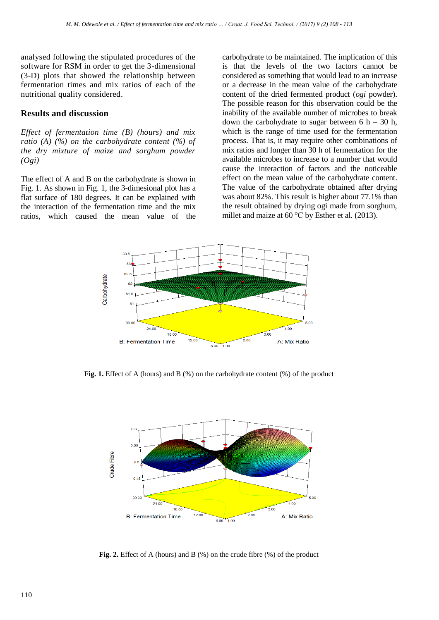analysed following the stipulated procedures of the software for RSM in order to get the 3-dimensional (3-D) plots that showed the relationship between fermentation times and mix ratios of each of the nutritional quality considered.

### **Results and discussion**

*Effect of fermentation time (B) (hours) and mix ratio (A) (%) on the carbohydrate content (%) of the dry mixture of maize and sorghum powder (Ogi)*

The effect of A and B on the carbohydrate is shown in Fig. 1. As shown in Fig. 1, the 3-dimesional plot has a flat surface of 180 degrees. It can be explained with the interaction of the fermentation time and the mix ratios, which caused the mean value of the carbohydrate to be maintained. The implication of this is that the levels of the two factors cannot be considered as something that would lead to an increase or a decrease in the mean value of the carbohydrate content of the dried fermented product (*ogi* powder). The possible reason for this observation could be the inability of the available number of microbes to break down the carbohydrate to sugar between  $6 h - 30 h$ , which is the range of time used for the fermentation process. That is, it may require other combinations of mix ratios and longer than 30 h of fermentation for the available microbes to increase to a number that would cause the interaction of factors and the noticeable effect on the mean value of the carbohydrate content. The value of the carbohydrate obtained after drying was about 82%. This result is higher about 77.1% than the result obtained by drying ogi made from sorghum, millet and maize at 60 °C by Esther et al*.* (2013).



Fig. 1. Effect of A (hours) and B (%) on the carbohydrate content (%) of the product



**Fig. 2.** Effect of A (hours) and B (%) on the crude fibre (%) of the product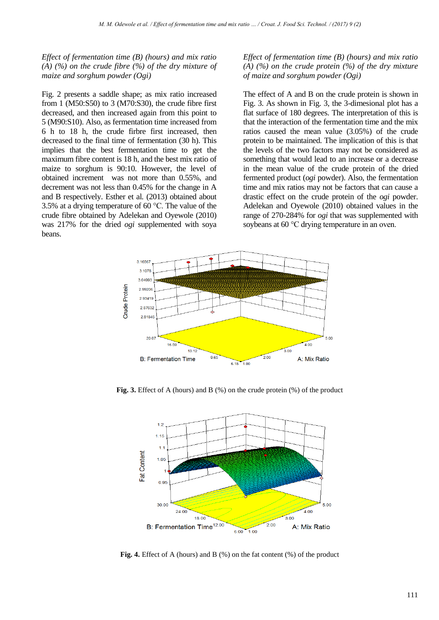*Effect of fermentation time (B) (hours) and mix ratio (A) (%) on the crude fibre (%) of the dry mixture of maize and sorghum powder (Ogi)*

Fig. 2 presents a saddle shape; as mix ratio increased from 1 (M50:S50) to 3 (M70:S30), the crude fibre first decreased, and then increased again from this point to 5 (M90:S10). Also, as fermentation time increased from 6 h to 18 h, the crude firbre first increased, then decreased to the final time of fermentation (30 h). This implies that the best fermentation time to get the maximum fibre content is 18 h, and the best mix ratio of maize to sorghum is 90:10. However, the level of obtained increment was not more than 0.55%, and decrement was not less than 0.45% for the change in A and B respectively. Esther et al*.* (2013) obtained about 3.5% at a drying temperature of 60 °C. The value of the crude fibre obtained by Adelekan and Oyewole (2010) was 217% for the dried *ogi* supplemented with soya beans.

#### *Effect of fermentation time (B) (hours) and mix ratio (A) (%) on the crude protein (%) of the dry mixture of maize and sorghum powder (Ogi)*

The effect of A and B on the crude protein is shown in Fig. 3. As shown in Fig. 3, the 3-dimesional plot has a flat surface of 180 degrees. The interpretation of this is that the interaction of the fermentation time and the mix ratios caused the mean value (3.05%) of the crude protein to be maintained. The implication of this is that the levels of the two factors may not be considered as something that would lead to an increase or a decrease in the mean value of the crude protein of the dried fermented product (*ogi* powder). Also, the fermentation time and mix ratios may not be factors that can cause a drastic effect on the crude protein of the *ogi* powder. Adelekan and Oyewole (2010) obtained values in the range of 270-284% for *ogi* that was supplemented with soybeans at 60 °C drying temperature in an oven.



**Fig. 3.** Effect of A (hours) and B (%) on the crude protein (%) of the product



**Fig. 4.** Effect of A (hours) and B (%) on the fat content (%) of the product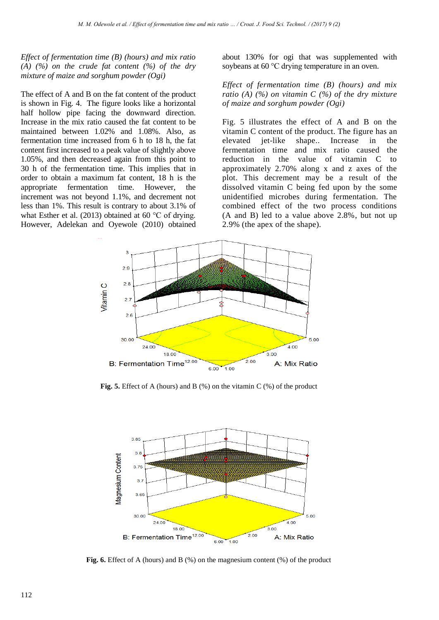*Effect of fermentation time (B) (hours) and mix ratio (A) (%) on the crude fat content (%) of the dry mixture of maize and sorghum powder (Ogi)*

The effect of A and B on the fat content of the product is shown in Fig. 4. The figure looks like a horizontal half hollow pipe facing the downward direction. Increase in the mix ratio caused the fat content to be maintained between 1.02% and 1.08%. Also, as fermentation time increased from 6 h to 18 h, the fat content first increased to a peak value of slightly above 1.05%, and then decreased again from this point to 30 h of the fermentation time. This implies that in order to obtain a maximum fat content, 18 h is the appropriate fermentation time. However, the increment was not beyond 1.1%, and decrement not less than 1%. This result is contrary to about 3.1% of what Esther et al. (2013) obtained at 60 °C of drying. However, Adelekan and Oyewole (2010) obtained about 130% for ogi that was supplemented with soybeans at 60 °C drying temperature in an oven.

*Effect of fermentation time (B) (hours) and mix ratio (A) (%) on vitamin C (%) of the dry mixture of maize and sorghum powder (Ogi)*

Fig. 5 illustrates the effect of A and B on the vitamin C content of the product. The figure has an elevated jet-like shape.. Increase in the fermentation time and mix ratio caused the reduction in the value of vitamin C to approximately 2.70% along x and z axes of the plot. This decrement may be a result of the dissolved vitamin C being fed upon by the some unidentified microbes during fermentation. The combined effect of the two process conditions (A and B) led to a value above 2.8%, but not up 2.9% (the apex of the shape).



**Fig. 5.** Effect of A (hours) and B (%) on the vitamin C (%) of the product



**Fig. 6.** Effect of A (hours) and B (%) on the magnesium content (%) of the product